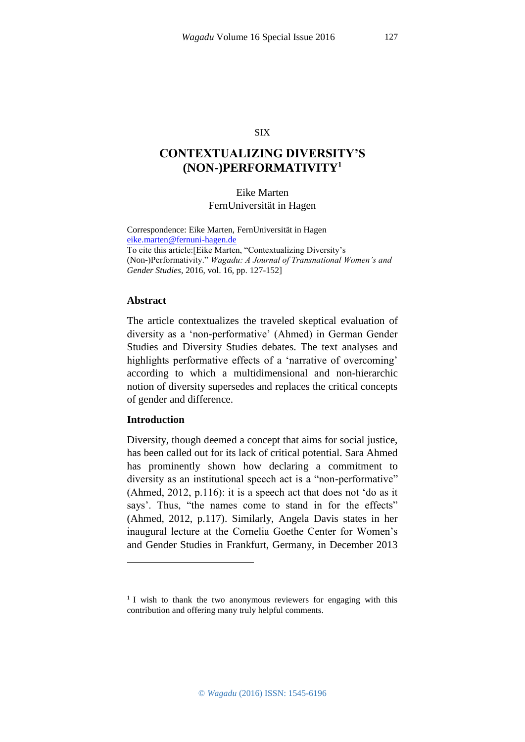#### SIX

# **CONTEXTUALIZING DIVERSITY'S (NON-)PERFORMATIVITY<sup>1</sup>**

# Eike Marten FernUniversität in Hagen

Correspondence: Eike Marten, FernUniversität in Hagen [eike.marten@fernuni-hagen.de](https://webmail.server.uni-frankfurt.de/horde/imp/dynamic.php?page=mailbox) To cite this article:[Eike Marten, "Contextualizing Diversity's (Non-)Performativity." *Wagadu: A Journal of Transnational Women's and Gender Studies*, 2016, vol. 16, pp. 127-152]

#### **Abstract**

The article contextualizes the traveled skeptical evaluation of diversity as a 'non-performative' (Ahmed) in German Gender Studies and Diversity Studies debates. The text analyses and highlights performative effects of a 'narrative of overcoming' according to which a multidimensional and non-hierarchic notion of diversity supersedes and replaces the critical concepts of gender and difference.

## **Introduction**

1

Diversity, though deemed a concept that aims for social justice, has been called out for its lack of critical potential. Sara Ahmed has prominently shown how declaring a commitment to diversity as an institutional speech act is a "non-performative" (Ahmed, 2012, p.116): it is a speech act that does not 'do as it says'. Thus, "the names come to stand in for the effects" (Ahmed, 2012, p.117). Similarly, Angela Davis states in her inaugural lecture at the Cornelia Goethe Center for Women's and Gender Studies in Frankfurt, Germany, in December 2013

<sup>&</sup>lt;sup>1</sup> I wish to thank the two anonymous reviewers for engaging with this contribution and offering many truly helpful comments.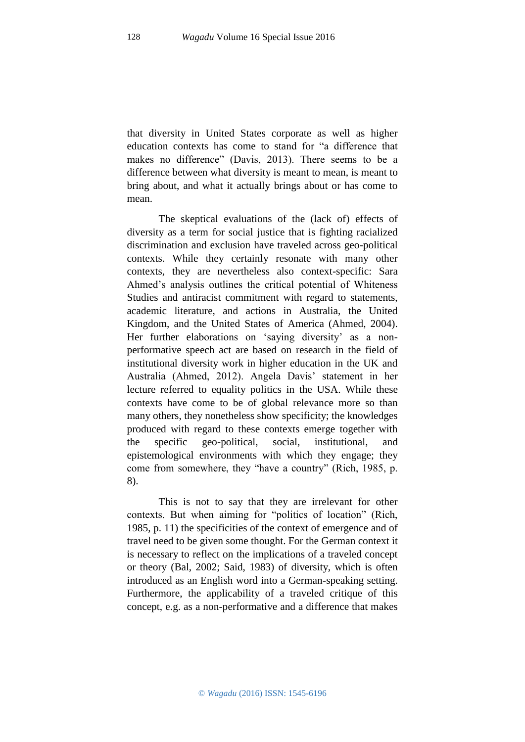that diversity in United States corporate as well as higher education contexts has come to stand for "a difference that makes no difference" (Davis, 2013). There seems to be a difference between what diversity is meant to mean, is meant to bring about, and what it actually brings about or has come to mean.

The skeptical evaluations of the (lack of) effects of diversity as a term for social justice that is fighting racialized discrimination and exclusion have traveled across geo-political contexts. While they certainly resonate with many other contexts, they are nevertheless also context-specific: Sara Ahmed's analysis outlines the critical potential of Whiteness Studies and antiracist commitment with regard to statements, academic literature, and actions in Australia, the United Kingdom, and the United States of America (Ahmed, 2004). Her further elaborations on 'saying diversity' as a nonperformative speech act are based on research in the field of institutional diversity work in higher education in the UK and Australia (Ahmed, 2012). Angela Davis' statement in her lecture referred to equality politics in the USA. While these contexts have come to be of global relevance more so than many others, they nonetheless show specificity; the knowledges produced with regard to these contexts emerge together with the specific geo-political, social, institutional, and epistemological environments with which they engage; they come from somewhere, they "have a country" (Rich, 1985, p. 8).

This is not to say that they are irrelevant for other contexts. But when aiming for "politics of location" (Rich, 1985, p. 11) the specificities of the context of emergence and of travel need to be given some thought. For the German context it is necessary to reflect on the implications of a traveled concept or theory (Bal, 2002; Said, 1983) of diversity, which is often introduced as an English word into a German-speaking setting. Furthermore, the applicability of a traveled critique of this concept, e.g. as a non-performative and a difference that makes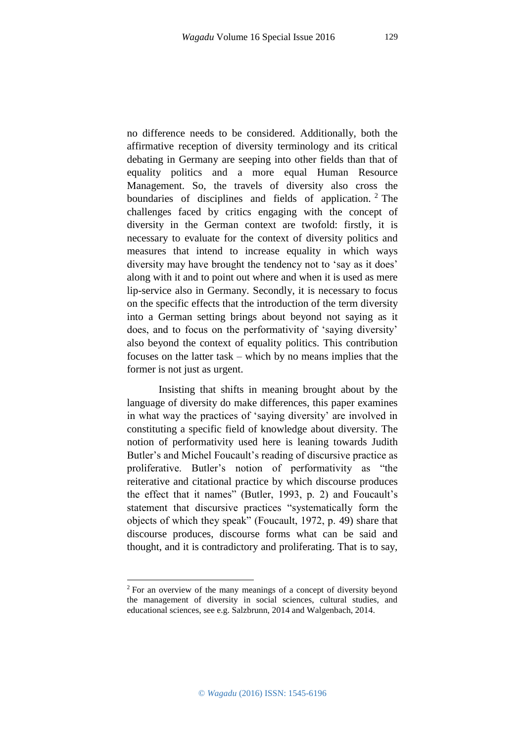no difference needs to be considered. Additionally, both the affirmative reception of diversity terminology and its critical debating in Germany are seeping into other fields than that of equality politics and a more equal Human Resource Management. So, the travels of diversity also cross the boundaries of disciplines and fields of application. <sup>2</sup> The challenges faced by critics engaging with the concept of diversity in the German context are twofold: firstly, it is necessary to evaluate for the context of diversity politics and measures that intend to increase equality in which ways diversity may have brought the tendency not to 'say as it does' along with it and to point out where and when it is used as mere lip-service also in Germany. Secondly, it is necessary to focus on the specific effects that the introduction of the term diversity into a German setting brings about beyond not saying as it

does, and to focus on the performativity of 'saying diversity' also beyond the context of equality politics. This contribution focuses on the latter task – which by no means implies that the former is not just as urgent.

Insisting that shifts in meaning brought about by the language of diversity do make differences, this paper examines in what way the practices of 'saying diversity' are involved in constituting a specific field of knowledge about diversity. The notion of performativity used here is leaning towards Judith Butler's and Michel Foucault's reading of discursive practice as proliferative. Butler's notion of performativity as "the reiterative and citational practice by which discourse produces the effect that it names" (Butler, 1993, p. 2) and Foucault's statement that discursive practices "systematically form the objects of which they speak" (Foucault, 1972, p. 49) share that discourse produces, discourse forms what can be said and thought, and it is contradictory and proliferating. That is to say,

1

<sup>2</sup> For an overview of the many meanings of a concept of diversity beyond the management of diversity in social sciences, cultural studies, and educational sciences, see e.g. Salzbrunn, 2014 and Walgenbach, 2014.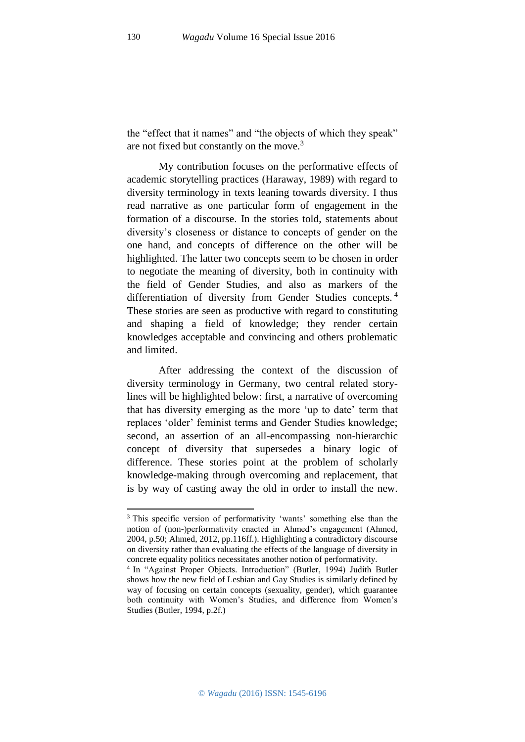the "effect that it names" and "the objects of which they speak" are not fixed but constantly on the move.<sup>3</sup>

My contribution focuses on the performative effects of academic storytelling practices (Haraway, 1989) with regard to diversity terminology in texts leaning towards diversity. I thus read narrative as one particular form of engagement in the formation of a discourse. In the stories told, statements about diversity's closeness or distance to concepts of gender on the one hand, and concepts of difference on the other will be highlighted. The latter two concepts seem to be chosen in order to negotiate the meaning of diversity, both in continuity with the field of Gender Studies, and also as markers of the differentiation of diversity from Gender Studies concepts.<sup>4</sup> These stories are seen as productive with regard to constituting and shaping a field of knowledge; they render certain knowledges acceptable and convincing and others problematic and limited.

After addressing the context of the discussion of diversity terminology in Germany, two central related storylines will be highlighted below: first, a narrative of overcoming that has diversity emerging as the more 'up to date' term that replaces 'older' feminist terms and Gender Studies knowledge; second, an assertion of an all-encompassing non-hierarchic concept of diversity that supersedes a binary logic of difference. These stories point at the problem of scholarly knowledge-making through overcoming and replacement, that is by way of casting away the old in order to install the new.

**.** 

<sup>&</sup>lt;sup>3</sup> This specific version of performativity 'wants' something else than the notion of (non-)performativity enacted in Ahmed's engagement (Ahmed, 2004, p.50; Ahmed, 2012, pp.116ff.). Highlighting a contradictory discourse on diversity rather than evaluating the effects of the language of diversity in concrete equality politics necessitates another notion of performativity.

<sup>&</sup>lt;sup>4</sup> In "Against Proper Objects. Introduction" (Butler, 1994) Judith Butler shows how the new field of Lesbian and Gay Studies is similarly defined by way of focusing on certain concepts (sexuality, gender), which guarantee both continuity with Women's Studies, and difference from Women's Studies (Butler, 1994, p.2f.)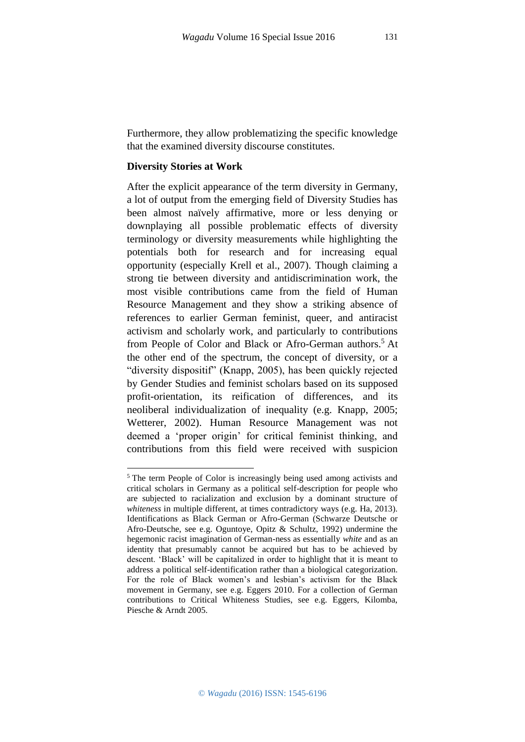Furthermore, they allow problematizing the specific knowledge that the examined diversity discourse constitutes.

## **Diversity Stories at Work**

**.** 

After the explicit appearance of the term diversity in Germany, a lot of output from the emerging field of Diversity Studies has been almost naïvely affirmative, more or less denying or downplaying all possible problematic effects of diversity terminology or diversity measurements while highlighting the potentials both for research and for increasing equal opportunity (especially Krell et al., 2007). Though claiming a strong tie between diversity and antidiscrimination work, the most visible contributions came from the field of Human Resource Management and they show a striking absence of references to earlier German feminist, queer, and antiracist activism and scholarly work, and particularly to contributions from People of Color and Black or Afro-German authors.<sup>5</sup> At the other end of the spectrum, the concept of diversity, or a "diversity dispositif" (Knapp, 2005), has been quickly rejected by Gender Studies and feminist scholars based on its supposed profit-orientation, its reification of differences, and its neoliberal individualization of inequality (e.g. Knapp, 2005; Wetterer, 2002). Human Resource Management was not deemed a 'proper origin' for critical feminist thinking, and contributions from this field were received with suspicion

<sup>&</sup>lt;sup>5</sup> The term People of Color is increasingly being used among activists and critical scholars in Germany as a political self-description for people who are subjected to racialization and exclusion by a dominant structure of *whiteness* in multiple different, at times contradictory ways (e.g. Ha, 2013). Identifications as Black German or Afro-German (Schwarze Deutsche or Afro-Deutsche, see e.g. Oguntoye, Opitz & Schultz, 1992) undermine the hegemonic racist imagination of German-ness as essentially *white* and as an identity that presumably cannot be acquired but has to be achieved by descent. 'Black' will be capitalized in order to highlight that it is meant to address a political self-identification rather than a biological categorization. For the role of Black women's and lesbian's activism for the Black movement in Germany, see e.g. Eggers 2010. For a collection of German contributions to Critical Whiteness Studies, see e.g. Eggers, Kilomba, Piesche & Arndt 2005.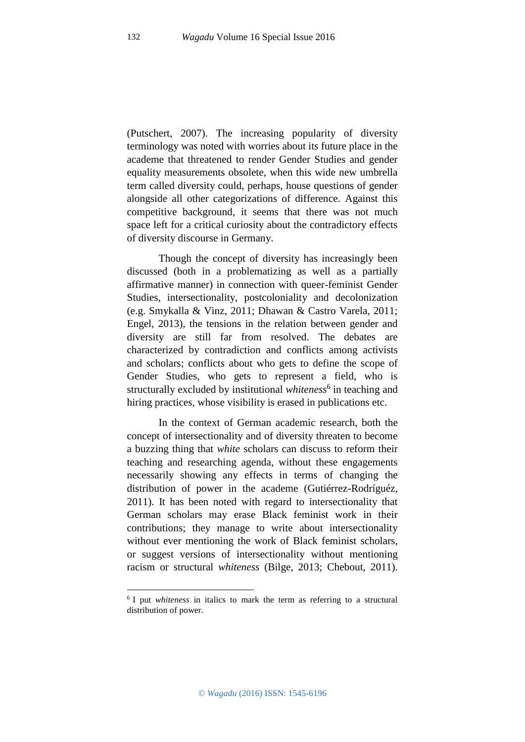(Putschert, 2007). The increasing popularity of diversity terminology was noted with worries about its future place in the academe that threatened to render Gender Studies and gender equality measurements obsolete, when this wide new umbrella term called diversity could, perhaps, house questions of gender alongside all other categorizations of difference. Against this competitive background, it seems that there was not much space left for a critical curiosity about the contradictory effects of diversity discourse in Germany.

Though the concept of diversity has increasingly been discussed (both in a problematizing as well as a partially affirmative manner) in connection with queer-feminist Gender Studies, intersectionality, postcoloniality and decolonization (e.g. Smykalla & Vinz, 2011; Dhawan & Castro Varela, 2011; Engel, 2013), the tensions in the relation between gender and diversity are still far from resolved. The debates are characterized by contradiction and conflicts among activists and scholars; conflicts about who gets to define the scope of Gender Studies, who gets to represent a field, who is structurally excluded by institutional *whiteness*<sup>6</sup> in teaching and hiring practices, whose visibility is erased in publications etc.

In the context of German academic research, both the concept of intersectionality and of diversity threaten to become a buzzing thing that *white* scholars can discuss to reform their teaching and researching agenda, without these engagements necessarily showing any effects in terms of changing the distribution of power in the academe (Gutiérrez-Rodríguéz, 2011). It has been noted with regard to intersectionality that German scholars may erase Black feminist work in their contributions; they manage to write about intersectionality without ever mentioning the work of Black feminist scholars, or suggest versions of intersectionality without mentioning racism or structural *whiteness* (Bilge, 2013; Chebout, 2011).

**.** 

<sup>6</sup> I put *whiteness* in italics to mark the term as referring to a structural distribution of power.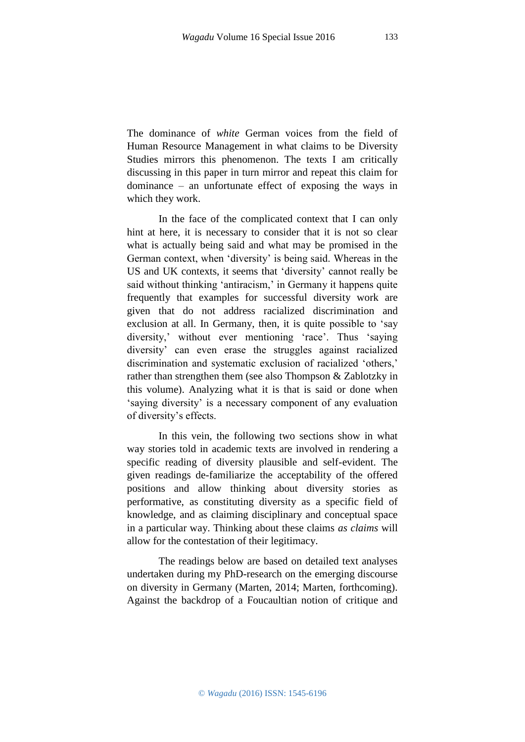The dominance of *white* German voices from the field of Human Resource Management in what claims to be Diversity Studies mirrors this phenomenon. The texts I am critically discussing in this paper in turn mirror and repeat this claim for dominance – an unfortunate effect of exposing the ways in which they work.

In the face of the complicated context that I can only hint at here, it is necessary to consider that it is not so clear what is actually being said and what may be promised in the German context, when 'diversity' is being said. Whereas in the US and UK contexts, it seems that 'diversity' cannot really be said without thinking 'antiracism,' in Germany it happens quite frequently that examples for successful diversity work are given that do not address racialized discrimination and exclusion at all. In Germany, then, it is quite possible to 'say diversity,' without ever mentioning 'race'. Thus 'saying diversity' can even erase the struggles against racialized discrimination and systematic exclusion of racialized 'others,' rather than strengthen them (see also Thompson & Zablotzky in this volume). Analyzing what it is that is said or done when 'saying diversity' is a necessary component of any evaluation of diversity's effects.

In this vein, the following two sections show in what way stories told in academic texts are involved in rendering a specific reading of diversity plausible and self-evident. The given readings de-familiarize the acceptability of the offered positions and allow thinking about diversity stories as performative, as constituting diversity as a specific field of knowledge, and as claiming disciplinary and conceptual space in a particular way. Thinking about these claims *as claims* will allow for the contestation of their legitimacy.

The readings below are based on detailed text analyses undertaken during my PhD-research on the emerging discourse on diversity in Germany (Marten, 2014; Marten, forthcoming). Against the backdrop of a Foucaultian notion of critique and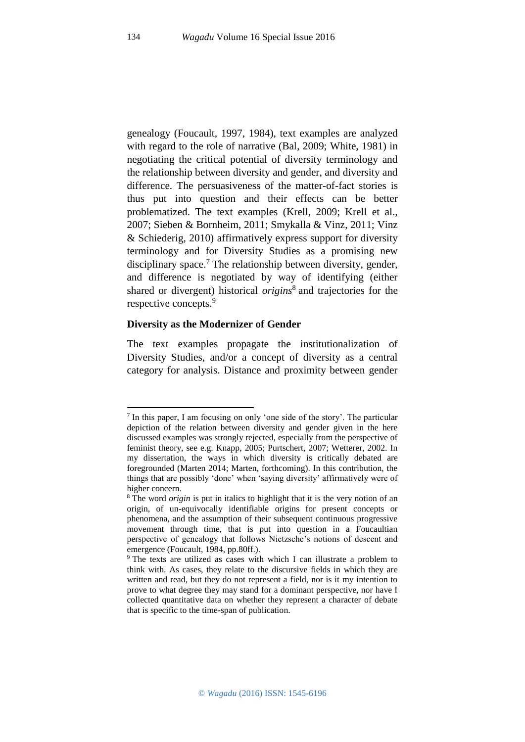genealogy (Foucault, 1997, 1984), text examples are analyzed with regard to the role of narrative (Bal, 2009; White, 1981) in negotiating the critical potential of diversity terminology and the relationship between diversity and gender, and diversity and difference. The persuasiveness of the matter-of-fact stories is thus put into question and their effects can be better problematized. The text examples (Krell, 2009; Krell et al., 2007; Sieben & Bornheim, 2011; Smykalla & Vinz, 2011; Vinz & Schiederig, 2010) affirmatively express support for diversity terminology and for Diversity Studies as a promising new disciplinary space.<sup>7</sup> The relationship between diversity, gender, and difference is negotiated by way of identifying (either shared or divergent) historical *origins*<sup>8</sup> and trajectories for the respective concepts.<sup>9</sup>

#### **Diversity as the Modernizer of Gender**

The text examples propagate the institutionalization of Diversity Studies, and/or a concept of diversity as a central category for analysis. Distance and proximity between gender

**.** 

<sup>7</sup> In this paper, I am focusing on only 'one side of the story'. The particular depiction of the relation between diversity and gender given in the here discussed examples was strongly rejected, especially from the perspective of feminist theory, see e.g. Knapp, 2005; Purtschert, 2007; Wetterer, 2002. In my dissertation, the ways in which diversity is critically debated are foregrounded (Marten 2014; Marten, forthcoming). In this contribution, the things that are possibly 'done' when 'saying diversity' affirmatively were of higher concern.

<sup>8</sup> The word *origin* is put in italics to highlight that it is the very notion of an origin, of un-equivocally identifiable origins for present concepts or phenomena, and the assumption of their subsequent continuous progressive movement through time, that is put into question in a Foucaultian perspective of genealogy that follows Nietzsche's notions of descent and emergence (Foucault, 1984, pp.80ff.).

<sup>9</sup> The texts are utilized as cases with which I can illustrate a problem to think with. As cases, they relate to the discursive fields in which they are written and read, but they do not represent a field, nor is it my intention to prove to what degree they may stand for a dominant perspective, nor have I collected quantitative data on whether they represent a character of debate that is specific to the time-span of publication.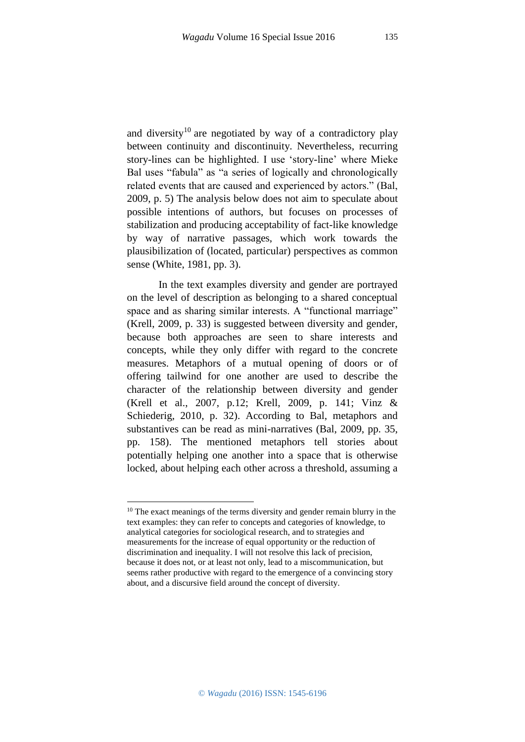and diversity<sup>10</sup> are negotiated by way of a contradictory play between continuity and discontinuity. Nevertheless, recurring story-lines can be highlighted. I use 'story-line' where Mieke Bal uses "fabula" as "a series of logically and chronologically related events that are caused and experienced by actors." (Bal, 2009, p. 5) The analysis below does not aim to speculate about possible intentions of authors, but focuses on processes of stabilization and producing acceptability of fact-like knowledge by way of narrative passages, which work towards the plausibilization of (located, particular) perspectives as common sense (White, 1981, pp. 3).

In the text examples diversity and gender are portrayed on the level of description as belonging to a shared conceptual space and as sharing similar interests. A "functional marriage" (Krell, 2009, p. 33) is suggested between diversity and gender, because both approaches are seen to share interests and concepts, while they only differ with regard to the concrete measures. Metaphors of a mutual opening of doors or of offering tailwind for one another are used to describe the character of the relationship between diversity and gender (Krell et al., 2007, p.12; Krell, 2009, p. 141; Vinz & Schiederig, 2010, p. 32). According to Bal, metaphors and substantives can be read as mini-narratives (Bal, 2009, pp. 35, pp. 158). The mentioned metaphors tell stories about potentially helping one another into a space that is otherwise locked, about helping each other across a threshold, assuming a

<sup>1</sup> <sup>10</sup> The exact meanings of the terms diversity and gender remain blurry in the text examples: they can refer to concepts and categories of knowledge, to analytical categories for sociological research, and to strategies and measurements for the increase of equal opportunity or the reduction of discrimination and inequality. I will not resolve this lack of precision, because it does not, or at least not only, lead to a miscommunication, but seems rather productive with regard to the emergence of a convincing story about, and a discursive field around the concept of diversity.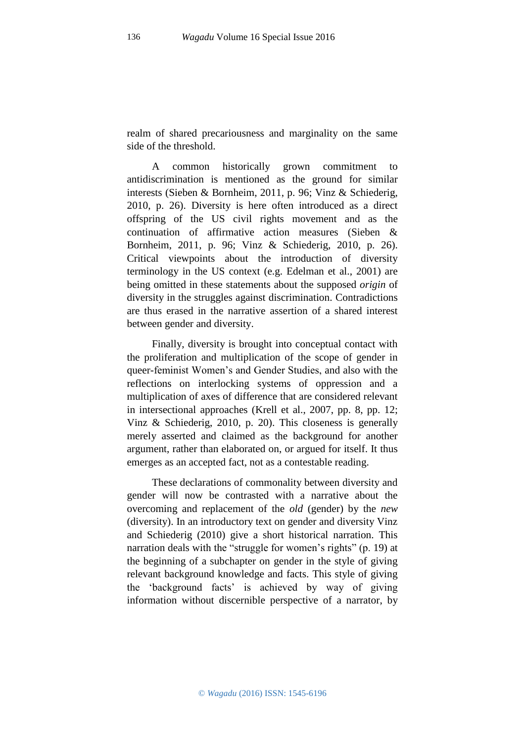realm of shared precariousness and marginality on the same side of the threshold.

A common historically grown commitment to antidiscrimination is mentioned as the ground for similar interests (Sieben & Bornheim, 2011, p. 96; Vinz & Schiederig, 2010, p. 26). Diversity is here often introduced as a direct offspring of the US civil rights movement and as the continuation of affirmative action measures (Sieben & Bornheim, 2011, p. 96; Vinz & Schiederig, 2010, p. 26). Critical viewpoints about the introduction of diversity terminology in the US context (e.g. Edelman et al., 2001) are being omitted in these statements about the supposed *origin* of diversity in the struggles against discrimination. Contradictions are thus erased in the narrative assertion of a shared interest between gender and diversity.

Finally, diversity is brought into conceptual contact with the proliferation and multiplication of the scope of gender in queer-feminist Women's and Gender Studies, and also with the reflections on interlocking systems of oppression and a multiplication of axes of difference that are considered relevant in intersectional approaches (Krell et al., 2007, pp. 8, pp. 12; Vinz & Schiederig, 2010, p. 20). This closeness is generally merely asserted and claimed as the background for another argument, rather than elaborated on, or argued for itself. It thus emerges as an accepted fact, not as a contestable reading.

These declarations of commonality between diversity and gender will now be contrasted with a narrative about the overcoming and replacement of the *old* (gender) by the *new*  (diversity). In an introductory text on gender and diversity Vinz and Schiederig (2010) give a short historical narration. This narration deals with the "struggle for women's rights" (p. 19) at the beginning of a subchapter on gender in the style of giving relevant background knowledge and facts. This style of giving the 'background facts' is achieved by way of giving information without discernible perspective of a narrator, by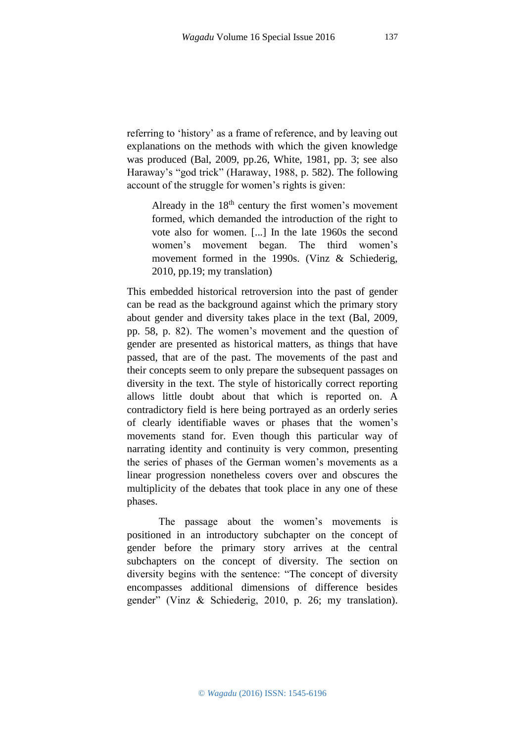referring to 'history' as a frame of reference, and by leaving out explanations on the methods with which the given knowledge was produced (Bal, 2009, pp.26, White, 1981, pp. 3; see also Haraway's "god trick" (Haraway, 1988, p. 582). The following account of the struggle for women's rights is given:

Already in the  $18<sup>th</sup>$  century the first women's movement formed, which demanded the introduction of the right to vote also for women. [...] In the late 1960s the second women's movement began. The third women's movement formed in the 1990s. (Vinz & Schiederig, 2010, pp.19; my translation)

This embedded historical retroversion into the past of gender can be read as the background against which the primary story about gender and diversity takes place in the text (Bal, 2009, pp. 58, p. 82). The women's movement and the question of gender are presented as historical matters, as things that have passed, that are of the past. The movements of the past and their concepts seem to only prepare the subsequent passages on diversity in the text. The style of historically correct reporting allows little doubt about that which is reported on. A contradictory field is here being portrayed as an orderly series of clearly identifiable waves or phases that the women's movements stand for. Even though this particular way of narrating identity and continuity is very common, presenting the series of phases of the German women's movements as a linear progression nonetheless covers over and obscures the multiplicity of the debates that took place in any one of these phases.

The passage about the women's movements is positioned in an introductory subchapter on the concept of gender before the primary story arrives at the central subchapters on the concept of diversity. The section on diversity begins with the sentence: "The concept of diversity encompasses additional dimensions of difference besides gender" (Vinz & Schiederig, 2010, p. 26; my translation).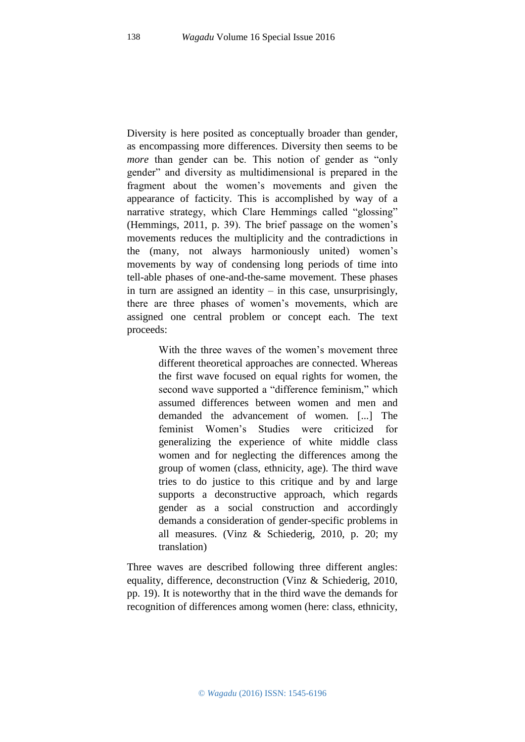Diversity is here posited as conceptually broader than gender, as encompassing more differences. Diversity then seems to be *more* than gender can be. This notion of gender as "only" gender" and diversity as multidimensional is prepared in the fragment about the women's movements and given the appearance of facticity. This is accomplished by way of a narrative strategy, which Clare Hemmings called "glossing" (Hemmings, 2011, p. 39). The brief passage on the women's movements reduces the multiplicity and the contradictions in the (many, not always harmoniously united) women's movements by way of condensing long periods of time into tell-able phases of one-and-the-same movement. These phases in turn are assigned an identity  $-$  in this case, unsurprisingly, there are three phases of women's movements, which are assigned one central problem or concept each. The text proceeds:

> With the three waves of the women's movement three different theoretical approaches are connected. Whereas the first wave focused on equal rights for women, the second wave supported a "difference feminism," which assumed differences between women and men and demanded the advancement of women. [...] The feminist Women's Studies were criticized for generalizing the experience of white middle class women and for neglecting the differences among the group of women (class, ethnicity, age). The third wave tries to do justice to this critique and by and large supports a deconstructive approach, which regards gender as a social construction and accordingly demands a consideration of gender-specific problems in all measures. (Vinz & Schiederig, 2010, p. 20; my translation)

Three waves are described following three different angles: equality, difference, deconstruction (Vinz & Schiederig, 2010, pp. 19). It is noteworthy that in the third wave the demands for recognition of differences among women (here: class, ethnicity,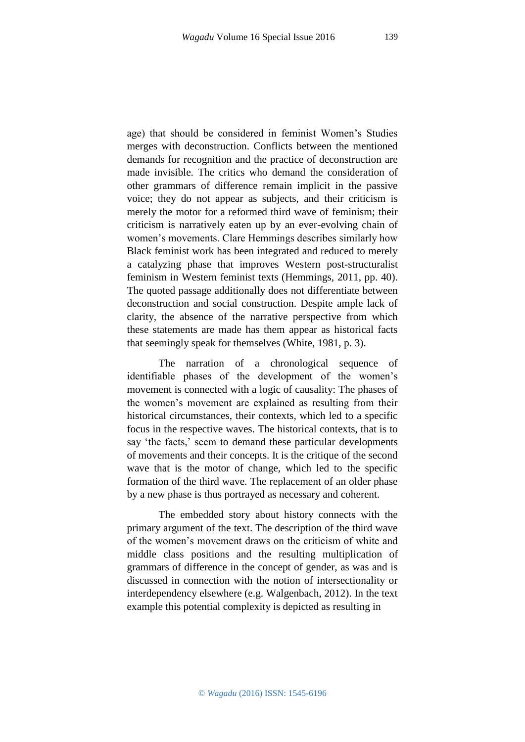age) that should be considered in feminist Women's Studies merges with deconstruction. Conflicts between the mentioned demands for recognition and the practice of deconstruction are made invisible. The critics who demand the consideration of other grammars of difference remain implicit in the passive voice; they do not appear as subjects, and their criticism is merely the motor for a reformed third wave of feminism; their criticism is narratively eaten up by an ever-evolving chain of women's movements. Clare Hemmings describes similarly how Black feminist work has been integrated and reduced to merely a catalyzing phase that improves Western post-structuralist feminism in Western feminist texts (Hemmings, 2011, pp. 40). The quoted passage additionally does not differentiate between deconstruction and social construction. Despite ample lack of clarity, the absence of the narrative perspective from which these statements are made has them appear as historical facts that seemingly speak for themselves (White, 1981, p. 3).

The narration of a chronological sequence of identifiable phases of the development of the women's movement is connected with a logic of causality: The phases of the women's movement are explained as resulting from their historical circumstances, their contexts, which led to a specific focus in the respective waves. The historical contexts, that is to say 'the facts,' seem to demand these particular developments of movements and their concepts. It is the critique of the second wave that is the motor of change, which led to the specific formation of the third wave. The replacement of an older phase by a new phase is thus portrayed as necessary and coherent.

The embedded story about history connects with the primary argument of the text. The description of the third wave of the women's movement draws on the criticism of white and middle class positions and the resulting multiplication of grammars of difference in the concept of gender, as was and is discussed in connection with the notion of intersectionality or interdependency elsewhere (e.g. Walgenbach, 2012). In the text example this potential complexity is depicted as resulting in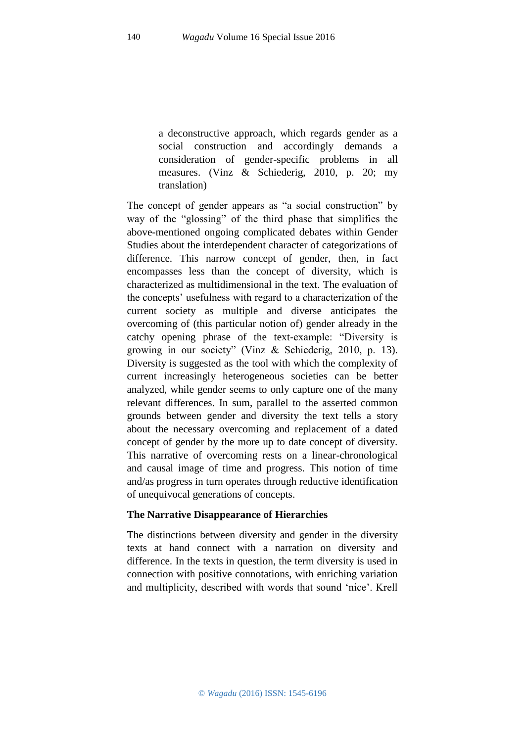a deconstructive approach, which regards gender as a social construction and accordingly demands a consideration of gender-specific problems in all measures. (Vinz & Schiederig, 2010, p. 20; my translation)

The concept of gender appears as "a social construction" by way of the "glossing" of the third phase that simplifies the above-mentioned ongoing complicated debates within Gender Studies about the interdependent character of categorizations of difference. This narrow concept of gender, then, in fact encompasses less than the concept of diversity, which is characterized as multidimensional in the text. The evaluation of the concepts' usefulness with regard to a characterization of the current society as multiple and diverse anticipates the overcoming of (this particular notion of) gender already in the catchy opening phrase of the text-example: "Diversity is growing in our society" (Vinz & Schiederig, 2010, p. 13). Diversity is suggested as the tool with which the complexity of current increasingly heterogeneous societies can be better analyzed, while gender seems to only capture one of the many relevant differences. In sum, parallel to the asserted common grounds between gender and diversity the text tells a story about the necessary overcoming and replacement of a dated concept of gender by the more up to date concept of diversity. This narrative of overcoming rests on a linear-chronological and causal image of time and progress. This notion of time and/as progress in turn operates through reductive identification of unequivocal generations of concepts.

## **The Narrative Disappearance of Hierarchies**

The distinctions between diversity and gender in the diversity texts at hand connect with a narration on diversity and difference. In the texts in question, the term diversity is used in connection with positive connotations, with enriching variation and multiplicity, described with words that sound 'nice'. Krell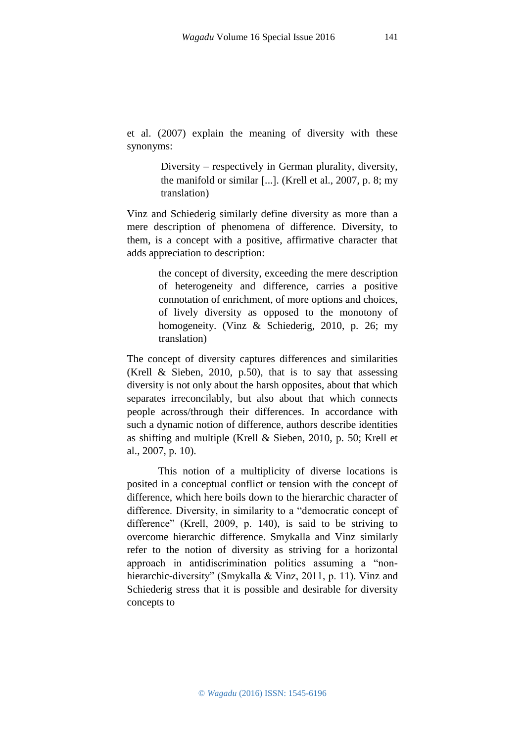et al. (2007) explain the meaning of diversity with these synonyms:

> Diversity – respectively in German plurality, diversity, the manifold or similar  $[...]$ . (Krell et al., 2007, p. 8; my translation)

Vinz and Schiederig similarly define diversity as more than a mere description of phenomena of difference. Diversity, to them, is a concept with a positive, affirmative character that adds appreciation to description:

> the concept of diversity, exceeding the mere description of heterogeneity and difference, carries a positive connotation of enrichment, of more options and choices, of lively diversity as opposed to the monotony of homogeneity. (Vinz & Schiederig, 2010, p. 26; my translation)

The concept of diversity captures differences and similarities (Krell & Sieben, 2010, p.50), that is to say that assessing diversity is not only about the harsh opposites, about that which separates irreconcilably, but also about that which connects people across/through their differences. In accordance with such a dynamic notion of difference, authors describe identities as shifting and multiple (Krell & Sieben, 2010, p. 50; Krell et al., 2007, p. 10).

This notion of a multiplicity of diverse locations is posited in a conceptual conflict or tension with the concept of difference, which here boils down to the hierarchic character of difference. Diversity, in similarity to a "democratic concept of difference" (Krell, 2009, p. 140), is said to be striving to overcome hierarchic difference. Smykalla and Vinz similarly refer to the notion of diversity as striving for a horizontal approach in antidiscrimination politics assuming a "nonhierarchic-diversity" (Smykalla & Vinz, 2011, p. 11). Vinz and Schiederig stress that it is possible and desirable for diversity concepts to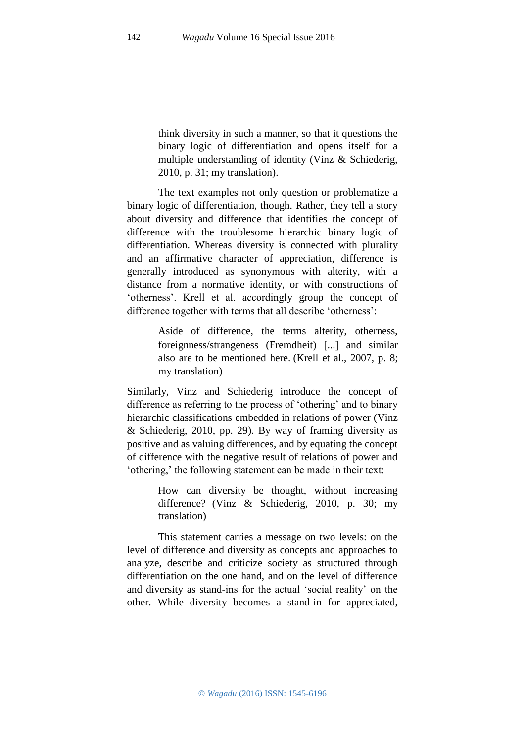think diversity in such a manner, so that it questions the binary logic of differentiation and opens itself for a multiple understanding of identity (Vinz & Schiederig, 2010, p. 31; my translation).

The text examples not only question or problematize a binary logic of differentiation, though. Rather, they tell a story about diversity and difference that identifies the concept of difference with the troublesome hierarchic binary logic of differentiation. Whereas diversity is connected with plurality and an affirmative character of appreciation, difference is generally introduced as synonymous with alterity, with a distance from a normative identity, or with constructions of 'otherness'. Krell et al. accordingly group the concept of difference together with terms that all describe 'otherness':

> Aside of difference, the terms alterity, otherness, foreignness/strangeness (Fremdheit) [...] and similar also are to be mentioned here. (Krell et al., 2007, p. 8; my translation)

Similarly, Vinz and Schiederig introduce the concept of difference as referring to the process of 'othering' and to binary hierarchic classifications embedded in relations of power (Vinz & Schiederig, 2010, pp. 29). By way of framing diversity as positive and as valuing differences, and by equating the concept of difference with the negative result of relations of power and 'othering,' the following statement can be made in their text:

> How can diversity be thought, without increasing difference? (Vinz & Schiederig, 2010, p. 30; my translation)

This statement carries a message on two levels: on the level of difference and diversity as concepts and approaches to analyze, describe and criticize society as structured through differentiation on the one hand, and on the level of difference and diversity as stand-ins for the actual 'social reality' on the other. While diversity becomes a stand-in for appreciated,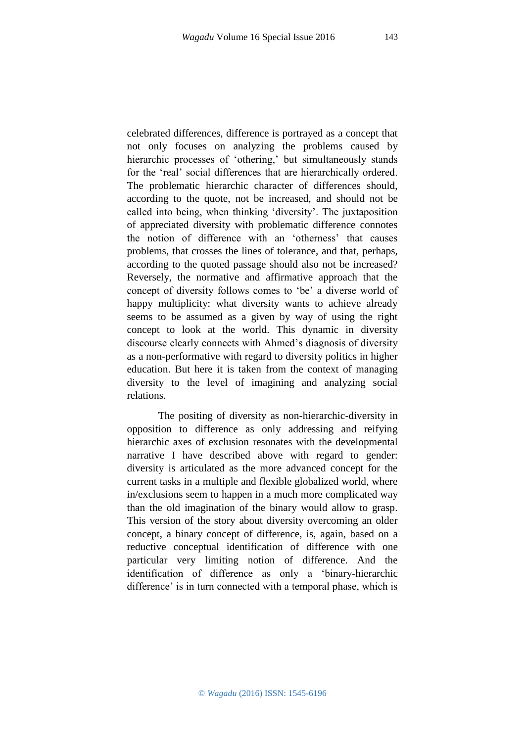143

celebrated differences, difference is portrayed as a concept that not only focuses on analyzing the problems caused by hierarchic processes of 'othering,' but simultaneously stands for the 'real' social differences that are hierarchically ordered. The problematic hierarchic character of differences should, according to the quote, not be increased, and should not be called into being, when thinking 'diversity'. The juxtaposition of appreciated diversity with problematic difference connotes the notion of difference with an 'otherness' that causes problems, that crosses the lines of tolerance, and that, perhaps, according to the quoted passage should also not be increased? Reversely, the normative and affirmative approach that the concept of diversity follows comes to 'be' a diverse world of happy multiplicity: what diversity wants to achieve already seems to be assumed as a given by way of using the right concept to look at the world. This dynamic in diversity discourse clearly connects with Ahmed's diagnosis of diversity as a non-performative with regard to diversity politics in higher education. But here it is taken from the context of managing diversity to the level of imagining and analyzing social relations.

The positing of diversity as non-hierarchic-diversity in opposition to difference as only addressing and reifying hierarchic axes of exclusion resonates with the developmental narrative I have described above with regard to gender: diversity is articulated as the more advanced concept for the current tasks in a multiple and flexible globalized world, where in/exclusions seem to happen in a much more complicated way than the old imagination of the binary would allow to grasp. This version of the story about diversity overcoming an older concept, a binary concept of difference, is, again, based on a reductive conceptual identification of difference with one particular very limiting notion of difference. And the identification of difference as only a 'binary-hierarchic difference' is in turn connected with a temporal phase, which is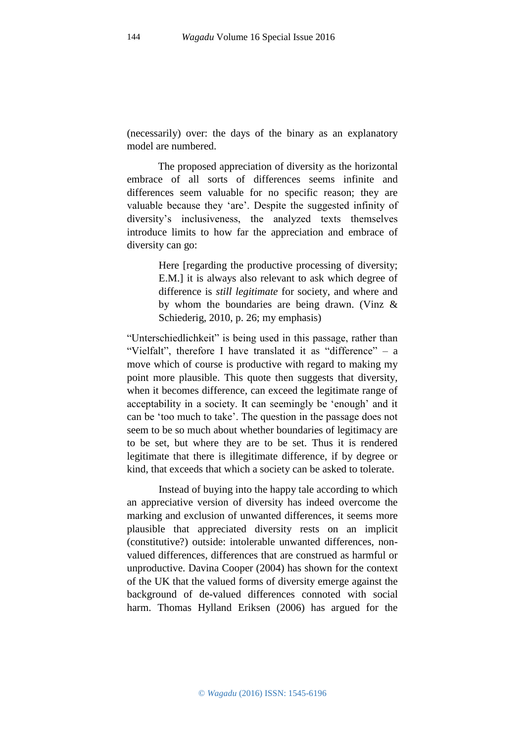(necessarily) over: the days of the binary as an explanatory model are numbered.

The proposed appreciation of diversity as the horizontal embrace of all sorts of differences seems infinite and differences seem valuable for no specific reason; they are valuable because they 'are'. Despite the suggested infinity of diversity's inclusiveness, the analyzed texts themselves introduce limits to how far the appreciation and embrace of diversity can go:

> Here [regarding the productive processing of diversity; E.M.] it is always also relevant to ask which degree of difference is *still legitimate* for society, and where and by whom the boundaries are being drawn. (Vinz & Schiederig, 2010, p. 26; my emphasis)

"Unterschiedlichkeit" is being used in this passage, rather than "Vielfalt", therefore I have translated it as "difference"  $-$  a move which of course is productive with regard to making my point more plausible. This quote then suggests that diversity, when it becomes difference, can exceed the legitimate range of acceptability in a society. It can seemingly be 'enough' and it can be 'too much to take'. The question in the passage does not seem to be so much about whether boundaries of legitimacy are to be set, but where they are to be set. Thus it is rendered legitimate that there is illegitimate difference, if by degree or kind, that exceeds that which a society can be asked to tolerate.

Instead of buying into the happy tale according to which an appreciative version of diversity has indeed overcome the marking and exclusion of unwanted differences, it seems more plausible that appreciated diversity rests on an implicit (constitutive?) outside: intolerable unwanted differences, nonvalued differences, differences that are construed as harmful or unproductive. Davina Cooper (2004) has shown for the context of the UK that the valued forms of diversity emerge against the background of de-valued differences connoted with social harm. Thomas Hylland Eriksen (2006) has argued for the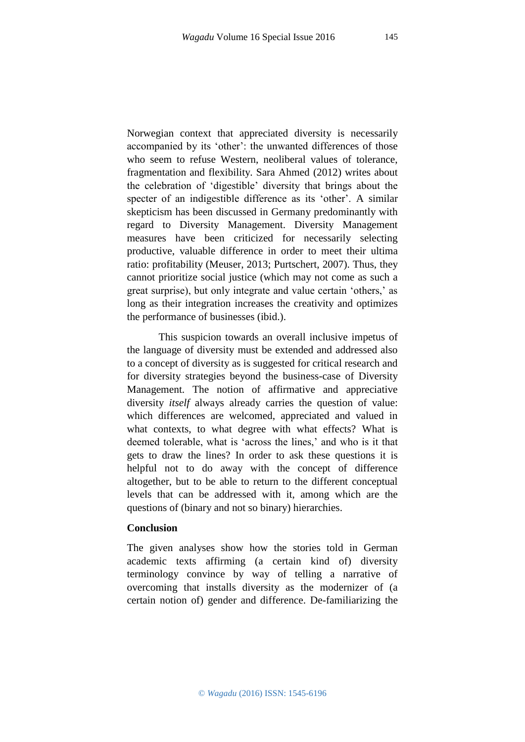Norwegian context that appreciated diversity is necessarily accompanied by its 'other': the unwanted differences of those who seem to refuse Western, neoliberal values of tolerance, fragmentation and flexibility. Sara Ahmed (2012) writes about the celebration of 'digestible' diversity that brings about the specter of an indigestible difference as its 'other'. A similar skepticism has been discussed in Germany predominantly with regard to Diversity Management. Diversity Management measures have been criticized for necessarily selecting productive, valuable difference in order to meet their ultima ratio: profitability (Meuser, 2013; Purtschert, 2007). Thus, they cannot prioritize social justice (which may not come as such a great surprise), but only integrate and value certain 'others,' as long as their integration increases the creativity and optimizes the performance of businesses (ibid.).

This suspicion towards an overall inclusive impetus of the language of diversity must be extended and addressed also to a concept of diversity as is suggested for critical research and for diversity strategies beyond the business-case of Diversity Management. The notion of affirmative and appreciative diversity *itself* always already carries the question of value: which differences are welcomed, appreciated and valued in what contexts, to what degree with what effects? What is deemed tolerable, what is 'across the lines,' and who is it that gets to draw the lines? In order to ask these questions it is helpful not to do away with the concept of difference altogether, but to be able to return to the different conceptual levels that can be addressed with it, among which are the questions of (binary and not so binary) hierarchies.

## **Conclusion**

The given analyses show how the stories told in German academic texts affirming (a certain kind of) diversity terminology convince by way of telling a narrative of overcoming that installs diversity as the modernizer of (a certain notion of) gender and difference. De-familiarizing the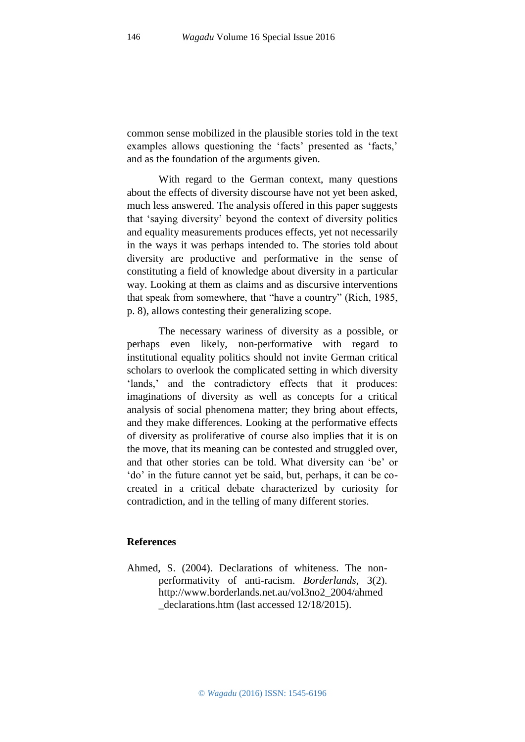common sense mobilized in the plausible stories told in the text examples allows questioning the 'facts' presented as 'facts,' and as the foundation of the arguments given.

With regard to the German context, many questions about the effects of diversity discourse have not yet been asked, much less answered. The analysis offered in this paper suggests that 'saying diversity' beyond the context of diversity politics and equality measurements produces effects, yet not necessarily in the ways it was perhaps intended to. The stories told about diversity are productive and performative in the sense of constituting a field of knowledge about diversity in a particular way. Looking at them as claims and as discursive interventions that speak from somewhere, that "have a country" (Rich, 1985, p. 8), allows contesting their generalizing scope.

The necessary wariness of diversity as a possible, or perhaps even likely, non-performative with regard to institutional equality politics should not invite German critical scholars to overlook the complicated setting in which diversity 'lands,' and the contradictory effects that it produces: imaginations of diversity as well as concepts for a critical analysis of social phenomena matter; they bring about effects, and they make differences. Looking at the performative effects of diversity as proliferative of course also implies that it is on the move, that its meaning can be contested and struggled over, and that other stories can be told. What diversity can 'be' or 'do' in the future cannot yet be said, but, perhaps, it can be cocreated in a critical debate characterized by curiosity for contradiction, and in the telling of many different stories.

#### **References**

Ahmed, S. (2004). Declarations of whiteness. The nonperformativity of anti-racism. *Borderlands*, 3(2). http://www.borderlands.net.au/vol3no2\_2004/ahmed \_declarations.htm (last accessed 12/18/2015).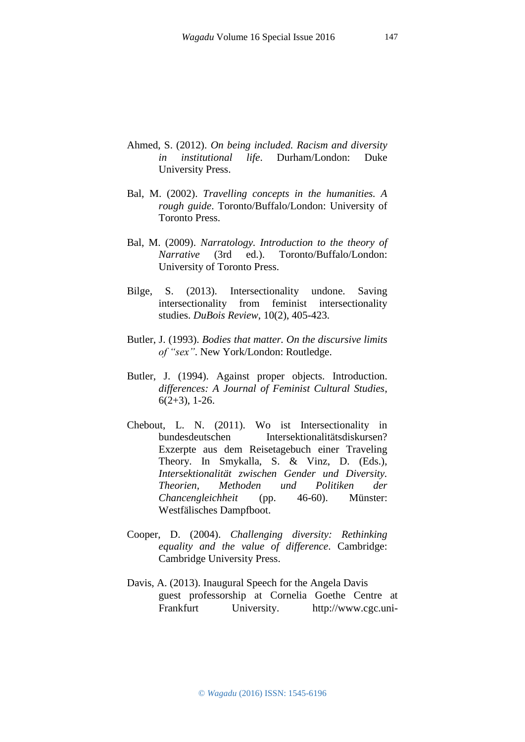- Ahmed, S. (2012). *On being included. Racism and diversity in institutional life*. Durham/London: Duke University Press.
- Bal, M. (2002). *Travelling concepts in the humanities. A rough guide*. Toronto/Buffalo/London: University of Toronto Press.
- Bal, M. (2009). *Narratology. Introduction to the theory of Narrative* (3rd ed.). Toronto/Buffalo/London: University of Toronto Press.
- Bilge, S. (2013). Intersectionality undone. Saving intersectionality from feminist intersectionality studies. *DuBois Review*, 10(2), 405-423.
- Butler, J. (1993). *Bodies that matter. On the discursive limits of "sex"*. New York/London: Routledge.
- Butler, J. (1994). Against proper objects. Introduction. *differences: A Journal of Feminist Cultural Studies*,  $6(2+3)$ , 1-26.
- Chebout, L. N. (2011). Wo ist Intersectionality in bundesdeutschen Intersektionalitätsdiskursen? Exzerpte aus dem Reisetagebuch einer Traveling Theory. In Smykalla, S. & Vinz, D. (Eds.), *Intersektionalität zwischen Gender und Diversity. Theorien, Methoden und Politiken der Chancengleichheit* (pp. 46-60). Münster: Westfälisches Dampfboot.
- Cooper, D. (2004). *Challenging diversity: Rethinking equality and the value of difference*. Cambridge: Cambridge University Press.
- Davis, A. (2013). Inaugural Speech for the Angela Davis guest professorship at Cornelia Goethe Centre at Frankfurt University. http://www.cgc.uni-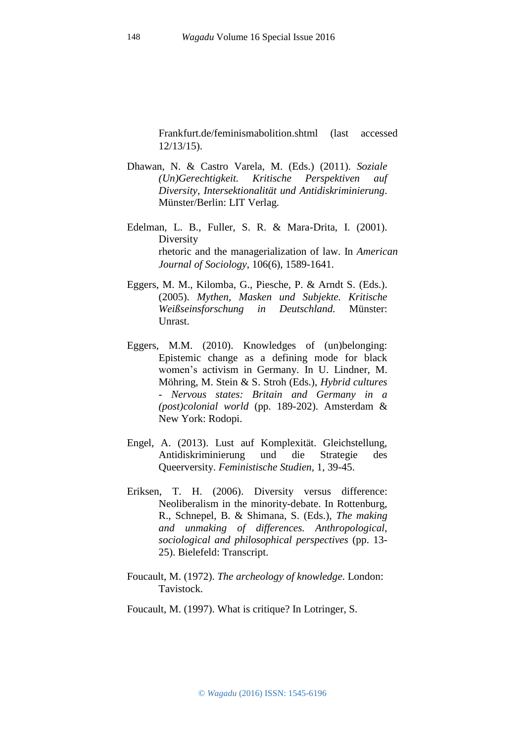Frankfurt.de/feminismabolition.shtml (last accessed 12/13/15).

- Dhawan, N. & Castro Varela, M. (Eds.) (2011). *Soziale (Un)Gerechtigkeit. Kritische Perspektiven auf Diversity, Intersektionalität und Antidiskriminierung*. Münster/Berlin: LIT Verlag.
- Edelman, L. B., Fuller, S. R. & Mara-Drita, I. (2001). Diversity rhetoric and the managerialization of law. In *American Journal of Sociology*, 106(6), 1589-1641.
- Eggers, M. M., Kilomba, G., Piesche, P. & Arndt S. (Eds.). (2005). *Mythen, Masken und Subjekte. Kritische Weißseinsforschung in Deutschland.* Münster: Unrast.
- Eggers, M.M. (2010). Knowledges of (un)belonging: Epistemic change as a defining mode for black women's activism in Germany. In U. Lindner, M. Möhring, M. Stein & S. Stroh (Eds.), *Hybrid cultures - Nervous states: Britain and Germany in a (post)colonial world* (pp. 189-202). Amsterdam & New York: Rodopi.
- Engel, A. (2013). Lust auf Komplexität. Gleichstellung, Antidiskriminierung und die Strategie des Queerversity. *Feministische Studien,* 1, 39-45.
- Eriksen, T. H. (2006). Diversity versus difference: Neoliberalism in the minority-debate. In Rottenburg, R., Schnepel, B. & Shimana, S. (Eds.), *The making and unmaking of differences. Anthropological, sociological and philosophical perspectives* (pp. 13- 25). Bielefeld: Transcript.
- Foucault, M. (1972). *The archeology of knowledge*. London: Tavistock.
- Foucault, M. (1997). What is critique? In Lotringer, S.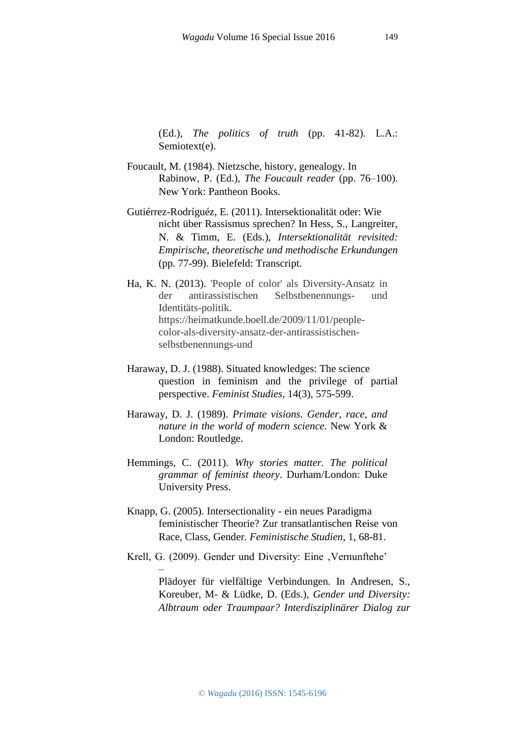(Ed.), *The politics of truth* (pp. 41-82). L.A.: Semiotext(e).

- Foucault, M. (1984). Nietzsche, history, genealogy. In Rabinow, P. (Ed.), *The Foucault reader* (pp. 76–100). New York: Pantheon Books.
- Gutiérrez-Rodríguéz, E. (2011). Intersektionalität oder: Wie nicht über Rassismus sprechen? In Hess, S., Langreiter, N. & Timm, E. (Eds.), *Intersektionalität revisited: Empirische, theoretische und methodische Erkundungen*  (pp. 77-99). Bielefeld: Transcript.
- Ha, K. N. (2013). 'People of color' als Diversity-Ansatz in der antirassistischen Selbstbenennungs- und Identitäts-politik. https://heimatkunde.boell.de/2009/11/01/peoplecolor-als-diversity-ansatz-der-antirassistischenselbstbenennungs-und
- Haraway, D. J. (1988). Situated knowledges: The science question in feminism and the privilege of partial perspective. *Feminist Studies*, 14(3), 575-599.
- Haraway, D. J. (1989). *Primate visions. Gender, race, and nature in the world of modern science*. New York & London: Routledge.
- Hemmings, C. (2011). *Why stories matter. The political grammar of feminist theory*. Durham/London: Duke University Press.
- Knapp, G. (2005). Intersectionality ein neues Paradigma feministischer Theorie? Zur transatlantischen Reise von Race, Class, Gender. *Feministische Studien*, 1, 68-81.
- Krell, G. (2009). Gender und Diversity: Eine , Vernunftehe'

–

Plädoyer für vielfältige Verbindungen. In Andresen, S., Koreuber, M- & Lüdke, D. (Eds.), *Gender und Diversity: Albtraum oder Traumpaar? Interdisziplinärer Dialog zur* 

149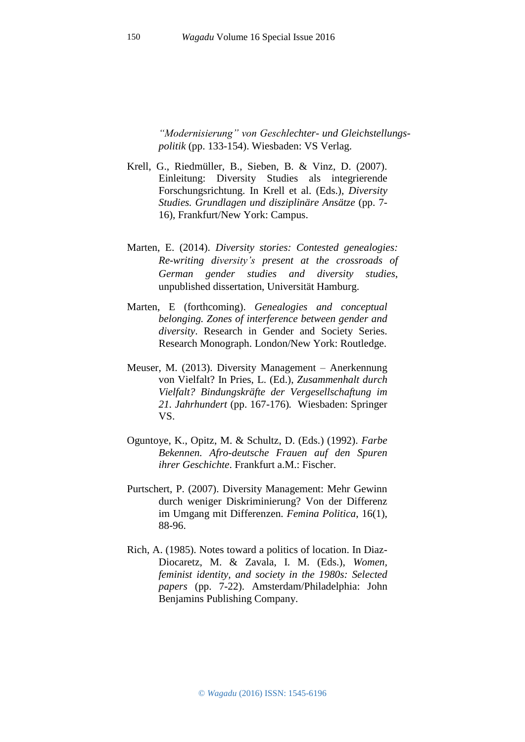*"Modernisierung" von Geschlechter- und Gleichstellungspolitik* (pp. 133-154). Wiesbaden: VS Verlag.

- Krell, G., Riedmüller, B., Sieben, B. & Vinz, D. (2007). Einleitung: Diversity Studies als integrierende Forschungsrichtung. In Krell et al. (Eds.), *Diversity Studies. Grundlagen und disziplinäre Ansätze* (pp. 7- 16), Frankfurt/New York: Campus.
- Marten, E. (2014). *Diversity stories: Contested genealogies: Re-writing diversity's present at the crossroads of German gender studies and diversity studies*, unpublished dissertation, Universität Hamburg.
- Marten, E (forthcoming). *Genealogies and conceptual belonging. Zones of interference between gender and diversity*. Research in Gender and Society Series. Research Monograph. London/New York: Routledge.
- Meuser, M. (2013). Diversity Management Anerkennung von Vielfalt? In Pries, L. (Ed.), *Zusammenhalt durch Vielfalt? Bindungskräfte der Vergesellschaftung im 21. Jahrhundert* (pp. 167-176)*.* Wiesbaden: Springer VS.
- Oguntoye, K., Opitz, M. & Schultz, D. (Eds.) (1992). *Farbe Bekennen. Afro-deutsche Frauen auf den Spuren ihrer Geschichte*. Frankfurt a.M.: Fischer.
- Purtschert, P. (2007). Diversity Management: Mehr Gewinn durch weniger Diskriminierung? Von der Differenz im Umgang mit Differenzen. *Femina Politica*, 16(1), 88-96.
- Rich, A. (1985). Notes toward a politics of location. In Diaz-Diocaretz, M. & Zavala, I. M. (Eds.), *Women, feminist identity, and society in the 1980s: Selected papers* (pp. 7-22). Amsterdam/Philadelphia: John Benjamins Publishing Company.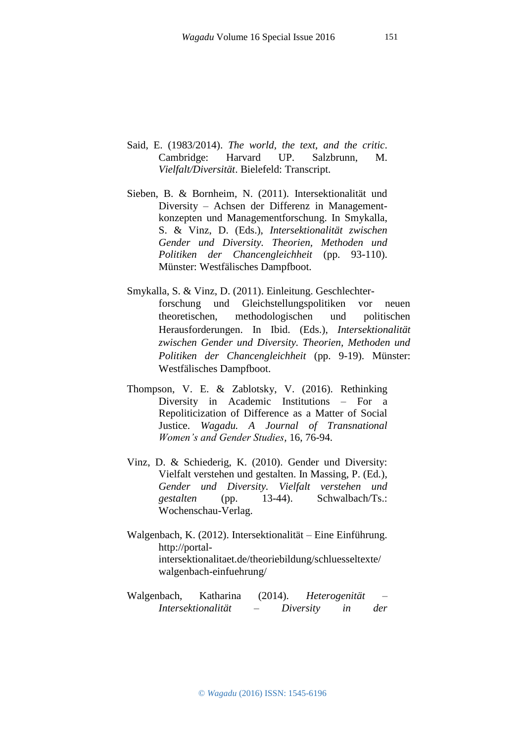- Said, E. (1983/2014). *The world, the text, and the critic*. Cambridge: Harvard UP. Salzbrunn, M. *Vielfalt/Diversität*. Bielefeld: Transcript.
- Sieben, B. & Bornheim, N. (2011). Intersektionalität und Diversity – Achsen der Differenz in Managementkonzepten und Managementforschung. In Smykalla, S. & Vinz, D. (Eds.), *Intersektionalität zwischen Gender und Diversity. Theorien, Methoden und Politiken der Chancengleichheit* (pp. 93-110). Münster: Westfälisches Dampfboot.
- Smykalla, S. & Vinz, D. (2011). Einleitung. Geschlechterforschung und Gleichstellungspolitiken vor neuen theoretischen, methodologischen und politischen Herausforderungen. In Ibid. (Eds.), *Intersektionalität zwischen Gender und Diversity. Theorien, Methoden und Politiken der Chancengleichheit* (pp. 9-19). Münster: Westfälisches Dampfboot.
- Thompson, V. E. & Zablotsky, V. (2016). Rethinking Diversity in Academic Institutions – For a Repoliticization of Difference as a Matter of Social Justice. *Wagadu. A Journal of Transnational Women's and Gender Studies,* 16, 76-94.
- Vinz, D. & Schiederig, K. (2010). Gender und Diversity: Vielfalt verstehen und gestalten. In Massing, P. (Ed*.*), *Gender und Diversity. Vielfalt verstehen und gestalten* (pp. 13-44). Schwalbach/Ts.: Wochenschau-Verlag.
- Walgenbach, K. (2012). Intersektionalität Eine Einführung. http://portalintersektionalitaet.de/theoriebildung/schluesseltexte/ walgenbach-einfuehrung/
- Walgenbach, Katharina (2014). *Heterogenität – Intersektionalität – Diversity in der*